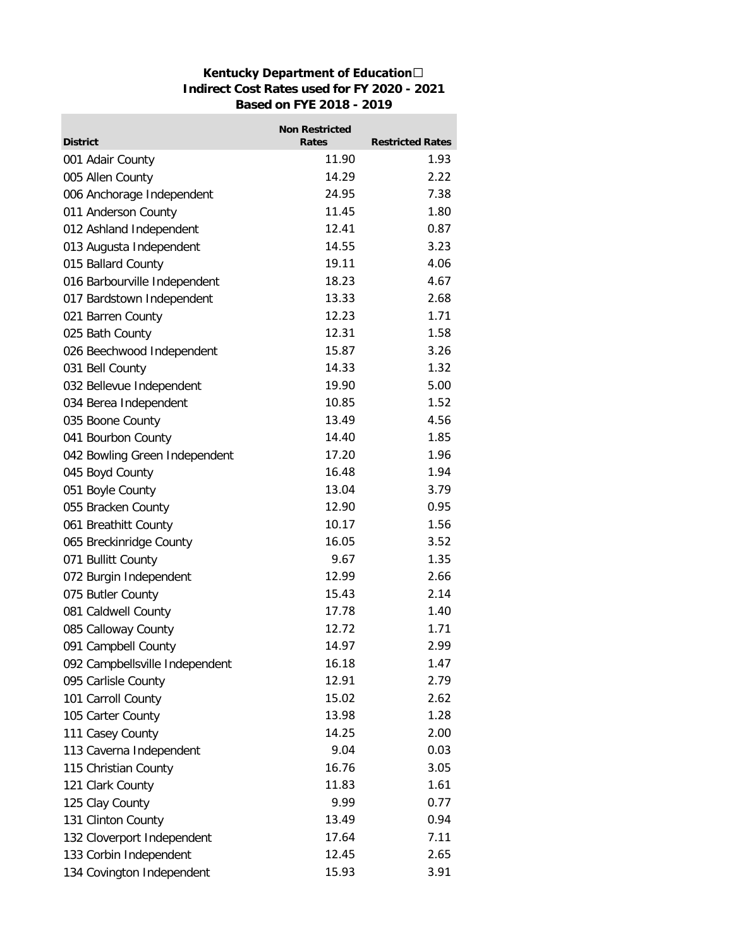## **Kentucky Department of Education Indirect Cost Rates used for FY 2020 - 2021 Based on FYE 2018 - 2019**

m.

|                                | <b>Non Restricted</b> |                         |
|--------------------------------|-----------------------|-------------------------|
| <b>District</b>                | <b>Rates</b>          | <b>Restricted Rates</b> |
| 001 Adair County               | 11.90                 | 1.93                    |
| 005 Allen County               | 14.29                 | 2.22                    |
| 006 Anchorage Independent      | 24.95                 | 7.38                    |
| 011 Anderson County            | 11.45                 | 1.80                    |
| 012 Ashland Independent        | 12.41                 | 0.87                    |
| 013 Augusta Independent        | 14.55                 | 3.23                    |
| 015 Ballard County             | 19.11                 | 4.06                    |
| 016 Barbourville Independent   | 18.23                 | 4.67                    |
| 017 Bardstown Independent      | 13.33                 | 2.68                    |
| 021 Barren County              | 12.23                 | 1.71                    |
| 025 Bath County                | 12.31                 | 1.58                    |
| 026 Beechwood Independent      | 15.87                 | 3.26                    |
| 031 Bell County                | 14.33                 | 1.32                    |
| 032 Bellevue Independent       | 19.90                 | 5.00                    |
| 034 Berea Independent          | 10.85                 | 1.52                    |
| 035 Boone County               | 13.49                 | 4.56                    |
| 041 Bourbon County             | 14.40                 | 1.85                    |
| 042 Bowling Green Independent  | 17.20                 | 1.96                    |
| 045 Boyd County                | 16.48                 | 1.94                    |
| 051 Boyle County               | 13.04                 | 3.79                    |
| 055 Bracken County             | 12.90                 | 0.95                    |
| 061 Breathitt County           | 10.17                 | 1.56                    |
| 065 Breckinridge County        | 16.05                 | 3.52                    |
| 071 Bullitt County             | 9.67                  | 1.35                    |
| 072 Burgin Independent         | 12.99                 | 2.66                    |
| 075 Butler County              | 15.43                 | 2.14                    |
| 081 Caldwell County            | 17.78                 | 1.40                    |
| 085 Calloway County            | 12.72                 | 1.71                    |
| 091 Campbell County            | 14.97                 | 2.99                    |
| 092 Campbellsville Independent | 16.18                 | 1.47                    |
| 095 Carlisle County            | 12.91                 | 2.79                    |
| 101 Carroll County             | 15.02                 | 2.62                    |
| 105 Carter County              | 13.98                 | 1.28                    |
| 111 Casey County               | 14.25                 | 2.00                    |
| 113 Caverna Independent        | 9.04                  | 0.03                    |
| 115 Christian County           | 16.76                 | 3.05                    |
| 121 Clark County               | 11.83                 | 1.61                    |
| 125 Clay County                | 9.99                  | 0.77                    |
| 131 Clinton County             | 13.49                 | 0.94                    |
| 132 Cloverport Independent     | 17.64                 | 7.11                    |
| 133 Corbin Independent         | 12.45                 | 2.65                    |
| 134 Covington Independent      | 15.93                 | 3.91                    |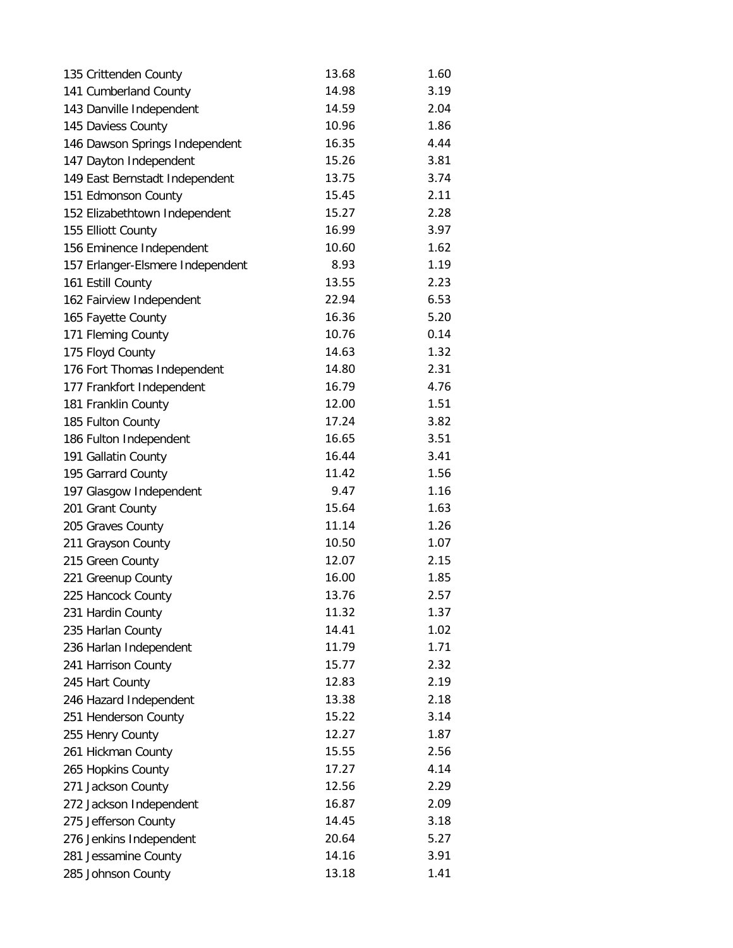| 135 Crittenden County            | 13.68 | 1.60 |
|----------------------------------|-------|------|
| 141 Cumberland County            | 14.98 | 3.19 |
| 143 Danville Independent         | 14.59 | 2.04 |
| 145 Daviess County               | 10.96 | 1.86 |
| 146 Dawson Springs Independent   | 16.35 | 4.44 |
| 147 Dayton Independent           | 15.26 | 3.81 |
| 149 East Bernstadt Independent   | 13.75 | 3.74 |
| 151 Edmonson County              | 15.45 | 2.11 |
| 152 Elizabethtown Independent    | 15.27 | 2.28 |
| 155 Elliott County               | 16.99 | 3.97 |
| 156 Eminence Independent         | 10.60 | 1.62 |
| 157 Erlanger-Elsmere Independent | 8.93  | 1.19 |
| 161 Estill County                | 13.55 | 2.23 |
| 162 Fairview Independent         | 22.94 | 6.53 |
| 165 Fayette County               | 16.36 | 5.20 |
| 171 Fleming County               | 10.76 | 0.14 |
| 175 Floyd County                 | 14.63 | 1.32 |
| 176 Fort Thomas Independent      | 14.80 | 2.31 |
| 177 Frankfort Independent        | 16.79 | 4.76 |
| 181 Franklin County              | 12.00 | 1.51 |
| 185 Fulton County                | 17.24 | 3.82 |
| 186 Fulton Independent           | 16.65 | 3.51 |
| 191 Gallatin County              | 16.44 | 3.41 |
| 195 Garrard County               | 11.42 | 1.56 |
| 197 Glasgow Independent          | 9.47  | 1.16 |
| 201 Grant County                 | 15.64 | 1.63 |
| 205 Graves County                | 11.14 | 1.26 |
| 211 Grayson County               | 10.50 | 1.07 |
| 215 Green County                 | 12.07 | 2.15 |
| 221 Greenup County               | 16.00 | 1.85 |
| 225 Hancock County               | 13.76 | 2.57 |
| 231 Hardin County                | 11.32 | 1.37 |
| 235 Harlan County                | 14.41 | 1.02 |
| 236 Harlan Independent           | 11.79 | 1.71 |
| 241 Harrison County              | 15.77 | 2.32 |
| 245 Hart County                  | 12.83 | 2.19 |
| 246 Hazard Independent           | 13.38 | 2.18 |
| 251 Henderson County             | 15.22 | 3.14 |
| 255 Henry County                 | 12.27 | 1.87 |
| 261 Hickman County               | 15.55 | 2.56 |
| 265 Hopkins County               | 17.27 | 4.14 |
| 271 Jackson County               | 12.56 | 2.29 |
| 272 Jackson Independent          | 16.87 | 2.09 |
| 275 Jefferson County             | 14.45 | 3.18 |
| 276 Jenkins Independent          | 20.64 | 5.27 |
| 281 Jessamine County             | 14.16 | 3.91 |
| 285 Johnson County               | 13.18 | 1.41 |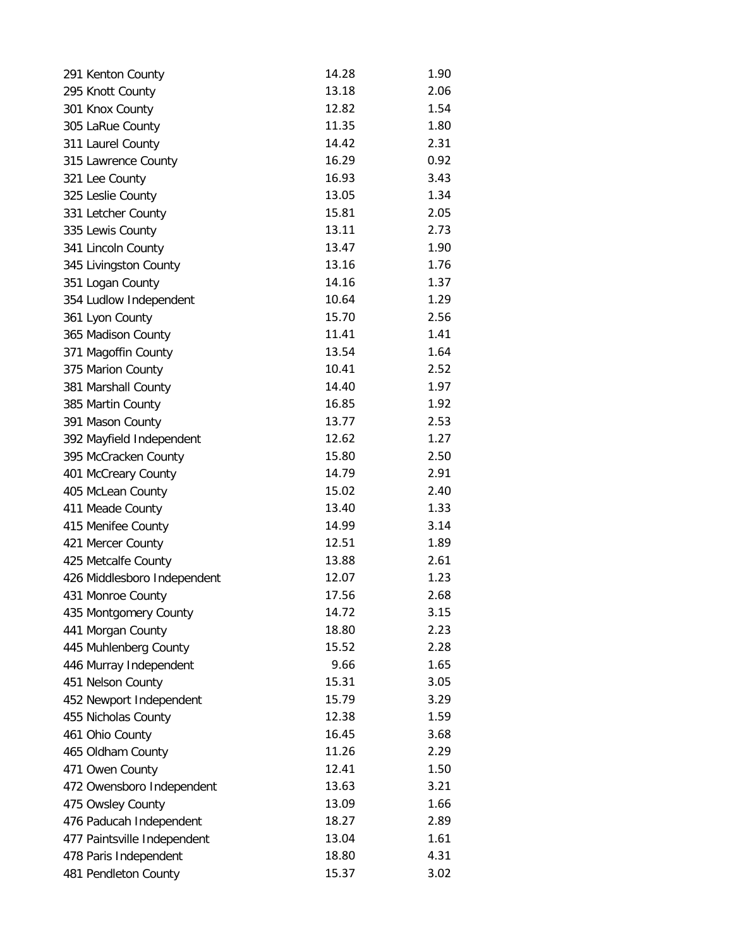| 291 Kenton County           | 14.28 | 1.90 |
|-----------------------------|-------|------|
| 295 Knott County            | 13.18 | 2.06 |
| 301 Knox County             | 12.82 | 1.54 |
| 305 LaRue County            | 11.35 | 1.80 |
| 311 Laurel County           | 14.42 | 2.31 |
| 315 Lawrence County         | 16.29 | 0.92 |
| 321 Lee County              | 16.93 | 3.43 |
| 325 Leslie County           | 13.05 | 1.34 |
| 331 Letcher County          | 15.81 | 2.05 |
| 335 Lewis County            | 13.11 | 2.73 |
| 341 Lincoln County          | 13.47 | 1.90 |
| 345 Livingston County       | 13.16 | 1.76 |
| 351 Logan County            | 14.16 | 1.37 |
| 354 Ludlow Independent      | 10.64 | 1.29 |
| 361 Lyon County             | 15.70 | 2.56 |
| 365 Madison County          | 11.41 | 1.41 |
| 371 Magoffin County         | 13.54 | 1.64 |
| 375 Marion County           | 10.41 | 2.52 |
| 381 Marshall County         | 14.40 | 1.97 |
| 385 Martin County           | 16.85 | 1.92 |
| 391 Mason County            | 13.77 | 2.53 |
| 392 Mayfield Independent    | 12.62 | 1.27 |
| 395 McCracken County        | 15.80 | 2.50 |
| 401 McCreary County         | 14.79 | 2.91 |
| 405 McLean County           | 15.02 | 2.40 |
| 411 Meade County            | 13.40 | 1.33 |
| 415 Menifee County          | 14.99 | 3.14 |
| 421 Mercer County           | 12.51 | 1.89 |
| 425 Metcalfe County         | 13.88 | 2.61 |
| 426 Middlesboro Independent | 12.07 | 1.23 |
| 431 Monroe County           | 17.56 | 2.68 |
| 435 Montgomery County       | 14.72 | 3.15 |
| 441 Morgan County           | 18.80 | 2.23 |
| 445 Muhlenberg County       | 15.52 | 2.28 |
| 446 Murray Independent      | 9.66  | 1.65 |
| 451 Nelson County           | 15.31 | 3.05 |
| 452 Newport Independent     | 15.79 | 3.29 |
| 455 Nicholas County         | 12.38 | 1.59 |
| 461 Ohio County             | 16.45 | 3.68 |
| 465 Oldham County           | 11.26 | 2.29 |
| 471 Owen County             | 12.41 | 1.50 |
| 472 Owensboro Independent   | 13.63 | 3.21 |
| 475 Owsley County           | 13.09 | 1.66 |
| 476 Paducah Independent     | 18.27 | 2.89 |
| 477 Paintsville Independent | 13.04 | 1.61 |
| 478 Paris Independent       | 18.80 | 4.31 |
| 481 Pendleton County        | 15.37 | 3.02 |